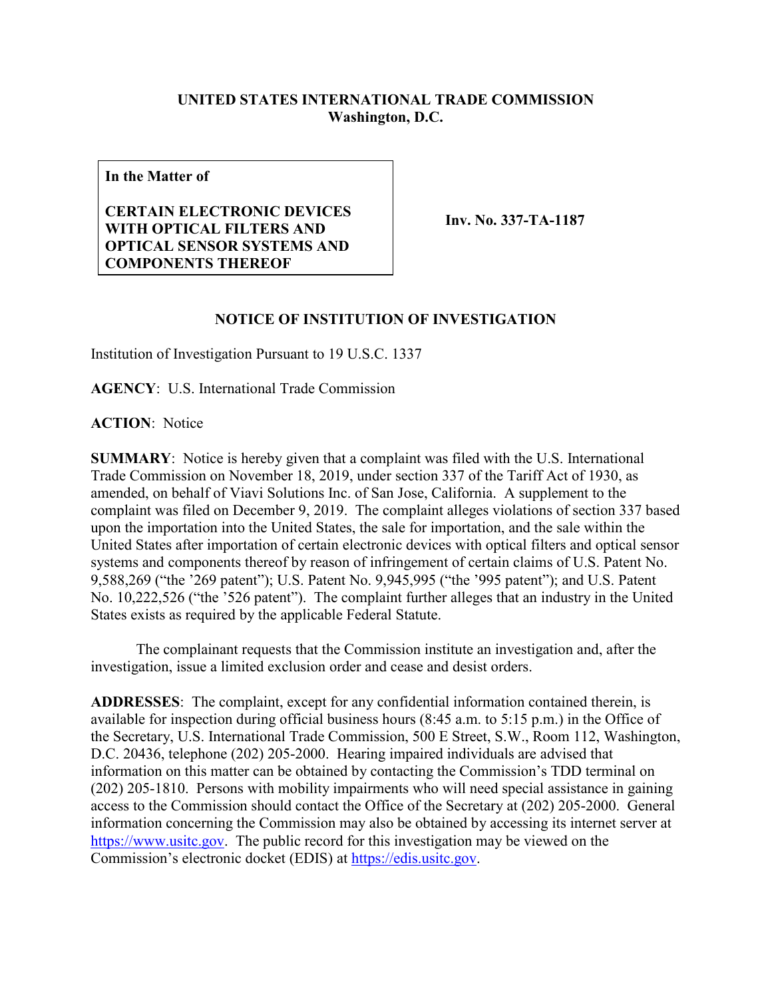## **UNITED STATES INTERNATIONAL TRADE COMMISSION Washington, D.C.**

**In the Matter of**

## **CERTAIN ELECTRONIC DEVICES WITH OPTICAL FILTERS AND OPTICAL SENSOR SYSTEMS AND COMPONENTS THEREOF**

**Inv. No. 337-TA-1187**

## **NOTICE OF INSTITUTION OF INVESTIGATION**

Institution of Investigation Pursuant to 19 U.S.C. 1337

**AGENCY**: U.S. International Trade Commission

**ACTION**: Notice

**SUMMARY**: Notice is hereby given that a complaint was filed with the U.S. International Trade Commission on November 18, 2019, under section 337 of the Tariff Act of 1930, as amended, on behalf of Viavi Solutions Inc. of San Jose, California. A supplement to the complaint was filed on December 9, 2019. The complaint alleges violations of section 337 based upon the importation into the United States, the sale for importation, and the sale within the United States after importation of certain electronic devices with optical filters and optical sensor systems and components thereof by reason of infringement of certain claims of U.S. Patent No. 9,588,269 ("the '269 patent"); U.S. Patent No. 9,945,995 ("the '995 patent"); and U.S. Patent No. 10,222,526 ("the '526 patent"). The complaint further alleges that an industry in the United States exists as required by the applicable Federal Statute.

The complainant requests that the Commission institute an investigation and, after the investigation, issue a limited exclusion order and cease and desist orders.

**ADDRESSES**: The complaint, except for any confidential information contained therein, is available for inspection during official business hours (8:45 a.m. to 5:15 p.m.) in the Office of the Secretary, U.S. International Trade Commission, 500 E Street, S.W., Room 112, Washington, D.C. 20436, telephone (202) 205-2000. Hearing impaired individuals are advised that information on this matter can be obtained by contacting the Commission's TDD terminal on (202) 205-1810. Persons with mobility impairments who will need special assistance in gaining access to the Commission should contact the Office of the Secretary at (202) 205-2000. General information concerning the Commission may also be obtained by accessing its internet server at [https://www.usitc.gov.](https://www.usitc.gov/) The public record for this investigation may be viewed on the Commission's electronic docket (EDIS) at [https://edis.usitc.gov.](https://edis.usitc.gov/)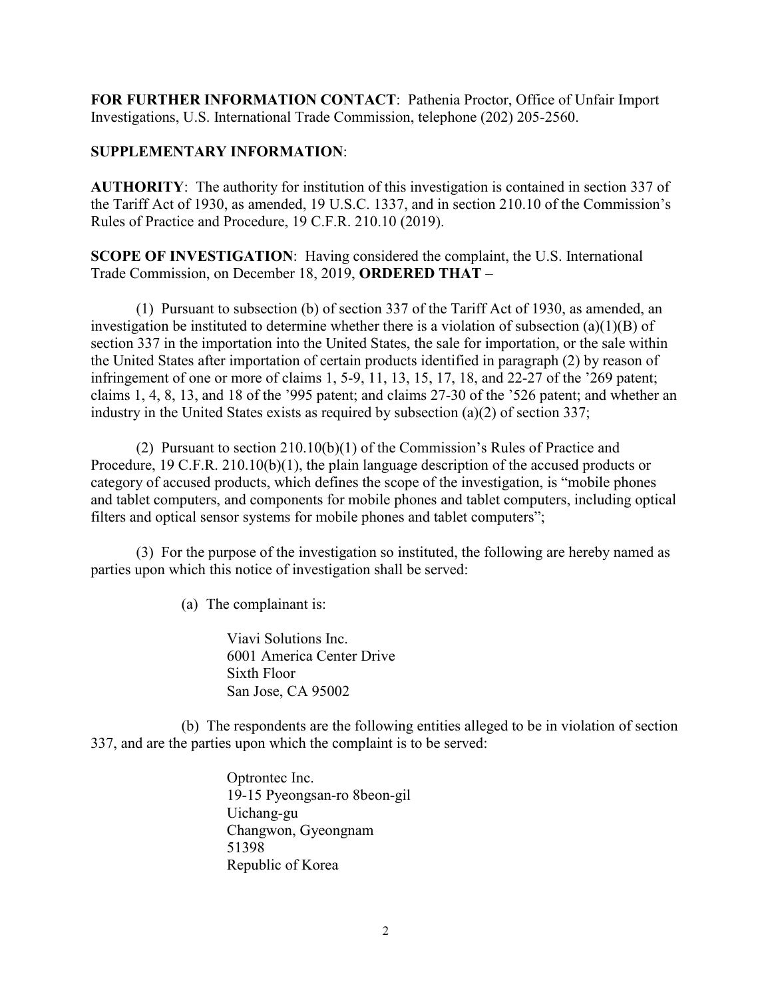**FOR FURTHER INFORMATION CONTACT**: Pathenia Proctor, Office of Unfair Import Investigations, U.S. International Trade Commission, telephone (202) 205-2560.

## **SUPPLEMENTARY INFORMATION**:

**AUTHORITY**: The authority for institution of this investigation is contained in section 337 of the Tariff Act of 1930, as amended, 19 U.S.C. 1337, and in section 210.10 of the Commission's Rules of Practice and Procedure, 19 C.F.R. 210.10 (2019).

**SCOPE OF INVESTIGATION**: Having considered the complaint, the U.S. International Trade Commission, on December 18, 2019, **ORDERED THAT** –

(1) Pursuant to subsection (b) of section 337 of the Tariff Act of 1930, as amended, an investigation be instituted to determine whether there is a violation of subsection (a)(1)(B) of section 337 in the importation into the United States, the sale for importation, or the sale within the United States after importation of certain products identified in paragraph (2) by reason of infringement of one or more of claims 1, 5-9, 11, 13, 15, 17, 18, and 22-27 of the '269 patent; claims 1, 4, 8, 13, and 18 of the '995 patent; and claims 27-30 of the '526 patent; and whether an industry in the United States exists as required by subsection (a)(2) of section 337;

(2) Pursuant to section 210.10(b)(1) of the Commission's Rules of Practice and Procedure, 19 C.F.R. 210.10(b)(1), the plain language description of the accused products or category of accused products, which defines the scope of the investigation, is "mobile phones and tablet computers, and components for mobile phones and tablet computers, including optical filters and optical sensor systems for mobile phones and tablet computers";

(3) For the purpose of the investigation so instituted, the following are hereby named as parties upon which this notice of investigation shall be served:

(a) The complainant is:

Viavi Solutions Inc. 6001 America Center Drive Sixth Floor San Jose, CA 95002

(b) The respondents are the following entities alleged to be in violation of section 337, and are the parties upon which the complaint is to be served:

> Optrontec Inc. 19-15 Pyeongsan-ro 8beon-gil Uichang-gu Changwon, Gyeongnam 51398 Republic of Korea